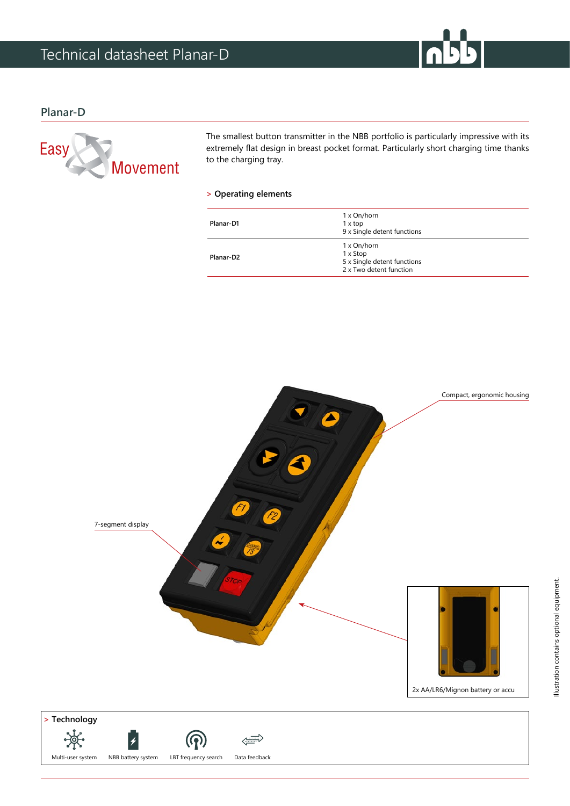

## **Planar-D**



The smallest button transmitter in the NBB portfolio is particularly impressive with its extremely flat design in breast pocket format. Particularly short charging time thanks to the charging tray.

### **> Operating elements**

| Planar-D1             | 1 x On/horn<br>1 x top<br>9 x Single detent functions                             |
|-----------------------|-----------------------------------------------------------------------------------|
| Planar-D <sub>2</sub> | 1 x On/horn<br>1 x Stop<br>5 x Single detent functions<br>2 x Two detent function |